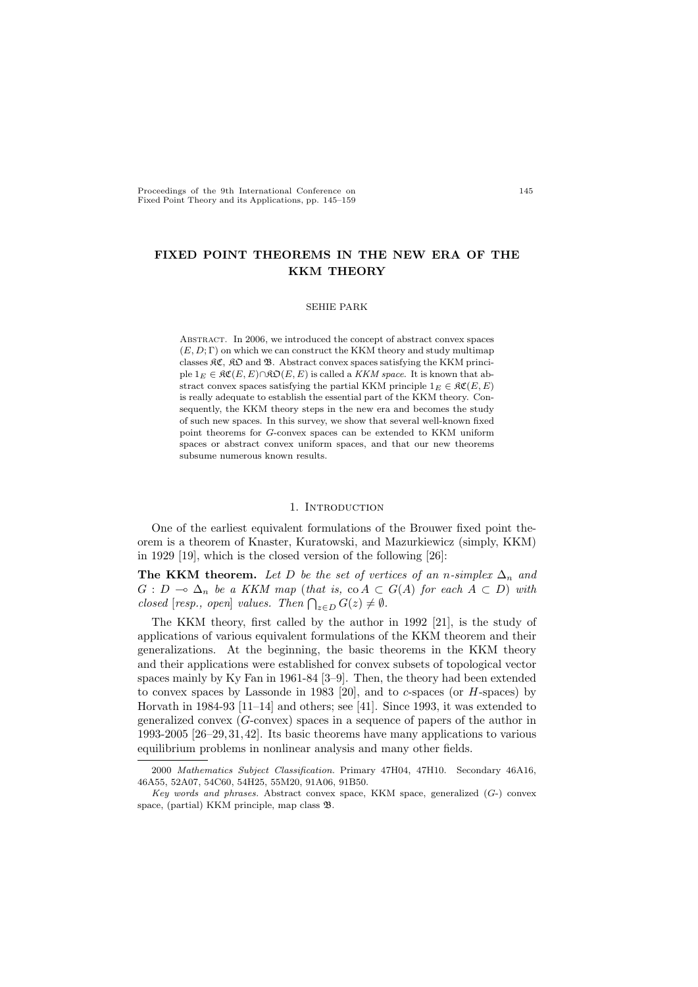Proceedings of the 9th International Conference on Fixed Point Theory and its Applications, pp. 145–159

# FIXED POINT THEOREMS IN THE NEW ERA OF THE KKM THEORY

# SEHIE PARK

Abstract. In 2006, we introduced the concept of abstract convex spaces  $(E, D; \Gamma)$  on which we can construct the KKM theory and study multimap classes  $\mathfrak{RC}$ ,  $\mathfrak{RD}$  and  $\mathfrak{B}$ . Abstract convex spaces satisfying the KKM principle  $1_E \in \mathfrak{RC}(E, E) \cap \mathfrak{RO}(E, E)$  is called a KKM space. It is known that abstract convex spaces satisfying the partial KKM principle  $1_E \in \mathcal{RC}(E, E)$ is really adequate to establish the essential part of the KKM theory. Consequently, the KKM theory steps in the new era and becomes the study of such new spaces. In this survey, we show that several well-known fixed point theorems for G-convex spaces can be extended to KKM uniform spaces or abstract convex uniform spaces, and that our new theorems subsume numerous known results.

# 1. INTRODUCTION

One of the earliest equivalent formulations of the Brouwer fixed point theorem is a theorem of Knaster, Kuratowski, and Mazurkiewicz (simply, KKM) in 1929 [19], which is the closed version of the following [26]:

The KKM theorem. Let D be the set of vertices of an n-simplex  $\Delta_n$  and  $G: D \multimap \Delta_n$  be a KKM map (that is, co  $A \subset G(A)$  for each  $A \subset D$ ) with  $G: D \to \Delta_n$  be a RRM map (that is,  $\cot A \subset \csc A$  closed [resp., open] values. Then  $\bigcap_{z \in D} G(z) \neq \emptyset$ .

The KKM theory, first called by the author in 1992 [21], is the study of applications of various equivalent formulations of the KKM theorem and their generalizations. At the beginning, the basic theorems in the KKM theory and their applications were established for convex subsets of topological vector spaces mainly by Ky Fan in 1961-84 [3–9]. Then, the theory had been extended to convex spaces by Lassonde in 1983 [20], and to  $c$ -spaces (or  $H$ -spaces) by Horvath in 1984-93  $[11-14]$  and others; see [41]. Since 1993, it was extended to generalized convex  $(G\text{-convex})$  spaces in a sequence of papers of the author in 1993-2005 [26–29, 31, 42]. Its basic theorems have many applications to various equilibrium problems in nonlinear analysis and many other fields.

<sup>2000</sup> Mathematics Subject Classification. Primary 47H04, 47H10. Secondary 46A16, 46A55, 52A07, 54C60, 54H25, 55M20, 91A06, 91B50.

Key words and phrases. Abstract convex space, KKM space, generalized (G-) convex space, (partial) KKM principle, map class B.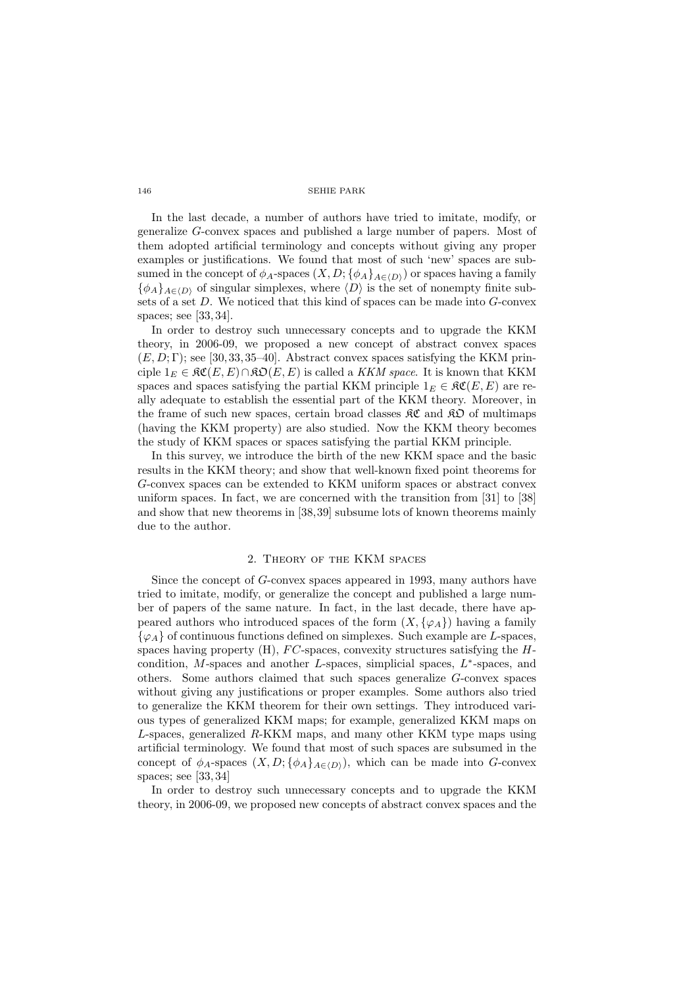In the last decade, a number of authors have tried to imitate, modify, or generalize G-convex spaces and published a large number of papers. Most of them adopted artificial terminology and concepts without giving any proper examples or justifications. We found that most of such 'new' spaces are subsumed in the concept of  $\phi_A$ -spaces  $(X, D; {\phi_A}_{A\in\langle D \rangle})$  or spaces having a family  ${\phi_A}_{A\in\langle D\rangle}$  of singular simplexes, where  $\langle D\rangle$  is the set of nonempty finite subsets of a set D. We noticed that this kind of spaces can be made into G-convex spaces; see [33, 34].

In order to destroy such unnecessary concepts and to upgrade the KKM theory, in 2006-09, we proposed a new concept of abstract convex spaces  $(E, D; \Gamma)$ ; see [30, 33, 35–40]. Abstract convex spaces satisfying the KKM principle  $1_E \in \mathfrak{RC}(E, E) \cap \mathfrak{RO}(E, E)$  is called a KKM space. It is known that KKM spaces and spaces satisfying the partial KKM principle  $1_E \in \mathfrak{RC}(E, E)$  are really adequate to establish the essential part of the KKM theory. Moreover, in the frame of such new spaces, certain broad classes  $\mathcal{RC}$  and  $\mathcal{RD}$  of multimaps (having the KKM property) are also studied. Now the KKM theory becomes the study of KKM spaces or spaces satisfying the partial KKM principle.

In this survey, we introduce the birth of the new KKM space and the basic results in the KKM theory; and show that well-known fixed point theorems for G-convex spaces can be extended to KKM uniform spaces or abstract convex uniform spaces. In fact, we are concerned with the transition from [31] to [38] and show that new theorems in [38,39] subsume lots of known theorems mainly due to the author.

# 2. Theory of the KKM spaces

Since the concept of G-convex spaces appeared in 1993, many authors have tried to imitate, modify, or generalize the concept and published a large number of papers of the same nature. In fact, in the last decade, there have appeared authors who introduced spaces of the form  $(X, \{\varphi_A\})$  having a family  $\{\varphi_A\}$  of continuous functions defined on simplexes. Such example are L-spaces, spaces having property  $(H)$ ,  $FC$ -spaces, convexity structures satisfying the  $H$ condition,  $M$ -spaces and another  $L$ -spaces, simplicial spaces,  $L^*$ -spaces, and others. Some authors claimed that such spaces generalize G-convex spaces without giving any justifications or proper examples. Some authors also tried to generalize the KKM theorem for their own settings. They introduced various types of generalized KKM maps; for example, generalized KKM maps on L-spaces, generalized R-KKM maps, and many other KKM type maps using artificial terminology. We found that most of such spaces are subsumed in the concept of  $\phi_A$ -spaces  $(X, D; {\phi_A}_{A\in(D)})$ , which can be made into G-convex spaces; see [33, 34]

In order to destroy such unnecessary concepts and to upgrade the KKM theory, in 2006-09, we proposed new concepts of abstract convex spaces and the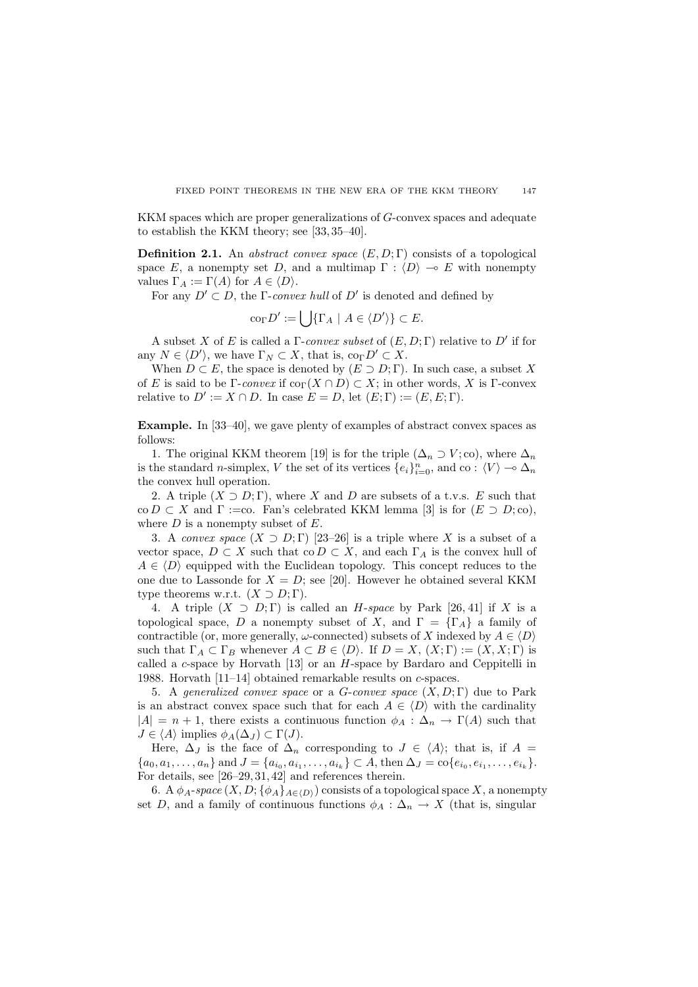KKM spaces which are proper generalizations of G-convex spaces and adequate to establish the KKM theory; see [33, 35–40].

**Definition 2.1.** An abstract convex space  $(E, D; \Gamma)$  consists of a topological space E, a nonempty set D, and a multimap  $\Gamma : \langle D \rangle \to E$  with nonempty values  $\Gamma_A := \Gamma(A)$  for  $A \in \langle D \rangle$ .

For any  $D' \subset D$ , the Γ-convex hull of D' is denoted and defined by

$$
co_{\Gamma} D' := \bigcup \{ \Gamma_A \mid A \in \langle D' \rangle \} \subset E.
$$

A subset X of E is called a  $\Gamma$ -convex subset of  $(E, D; \Gamma)$  relative to D' if for any  $N \in \langle D' \rangle$ , we have  $\Gamma_N \subset X$ , that is,  $\text{co}_{\Gamma} D' \subset X$ .

When  $D \subset E$ , the space is denoted by  $(E \supset D; \Gamma)$ . In such case, a subset X of E is said to be  $\Gamma$ -convex if  $\text{co}_{\Gamma}(X \cap D) \subset X$ ; in other words, X is  $\Gamma$ -convex relative to  $D' := X \cap D$ . In case  $E = D$ , let  $(E; \Gamma) := (E, E; \Gamma)$ .

Example. In [33–40], we gave plenty of examples of abstract convex spaces as follows:

1. The original KKM theorem [19] is for the triple  $(\Delta_n \supset V; \text{co})$ , where  $\Delta_n$ is the standard *n*-simplex, V the set of its vertices  $\{e_i\}_{i=0}^n$ , and co :  $\langle V \rangle \to \Delta_n$ the convex hull operation.

2. A triple  $(X \supset D; \Gamma)$ , where X and D are subsets of a t.v.s. E such that co  $D \subset X$  and  $\Gamma :=$ co. Fan's celebrated KKM lemma [3] is for  $(E \supset D;$  co), where  $D$  is a nonempty subset of  $E$ .

3. A convex space  $(X \supset D;\Gamma)$  [23–26] is a triple where X is a subset of a vector space,  $D \subset X$  such that co  $D \subset X$ , and each  $\Gamma_A$  is the convex hull of  $A \in \langle D \rangle$  equipped with the Euclidean topology. This concept reduces to the one due to Lassonde for  $X = D$ ; see [20]. However he obtained several KKM type theorems w.r.t.  $(X \supset D; \Gamma)$ .

4. A triple  $(X \supset D; \Gamma)$  is called an H-space by Park [26, 41] if X is a topological space, D a nonempty subset of X, and  $\Gamma = {\lbrace \Gamma_A \rbrace}$  a family of contractible (or, more generally,  $\omega$ -connected) subsets of X indexed by  $A \in \langle D \rangle$ such that  $\Gamma_A \subset \Gamma_B$  whenever  $A \subset B \in \langle D \rangle$ . If  $D = X$ ,  $(X; \Gamma) := (X, X; \Gamma)$  is called a  $c$ -space by Horvath  $[13]$  or an  $H$ -space by Bardaro and Ceppitelli in 1988. Horvath [11–14] obtained remarkable results on c-spaces.

5. A generalized convex space or a G-convex space  $(X, D; \Gamma)$  due to Park is an abstract convex space such that for each  $A \in \langle D \rangle$  with the cardinality  $|A| = n + 1$ , there exists a continuous function  $\phi_A : \Delta_n \to \Gamma(A)$  such that  $J \in \langle A \rangle$  implies  $\phi_A(\Delta_J) \subset \Gamma(J)$ .

Here,  $\Delta_J$  is the face of  $\Delta_n$  corresponding to  $J \in \langle A \rangle$ ; that is, if  $A =$  ${a_0, a_1, \ldots, a_n}$  and  $J = {a_{i_0}, a_{i_1}, \ldots, a_{i_k}} \subset A$ , then  $\Delta_J = \text{co}\{e_{i_0}, e_{i_1}, \ldots, e_{i_k}\}.$ For details, see [26–29, 31, 42] and references therein.

6. A  $\phi_A$ -space  $(X, D; {\phi_A}_{A\in\langle D \rangle})$  consists of a topological space X, a nonempty set D, and a family of continuous functions  $\phi_A : \Delta_n \to X$  (that is, singular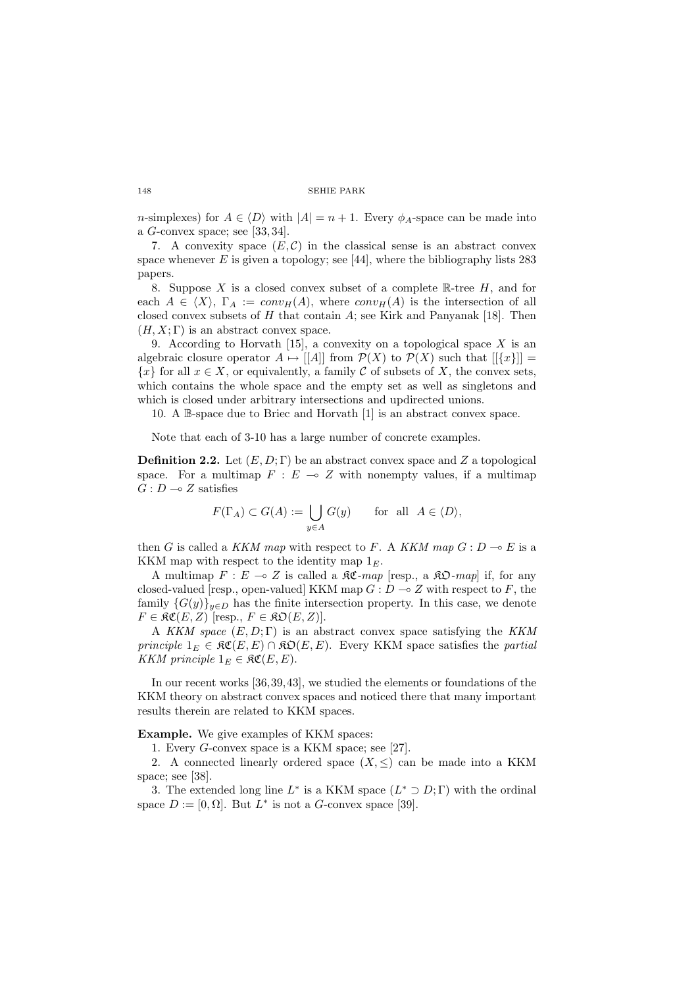n-simplexes) for  $A \in \langle D \rangle$  with  $|A| = n + 1$ . Every  $\phi_A$ -space can be made into a G-convex space; see [33, 34].

7. A convexity space  $(E, \mathcal{C})$  in the classical sense is an abstract convex space whenever  $E$  is given a topology; see [44], where the bibliography lists 283 papers.

8. Suppose X is a closed convex subset of a complete  $\mathbb{R}$ -tree H, and for each  $A \in \langle X \rangle$ ,  $\Gamma_A := conv_H(A)$ , where  $conv_H(A)$  is the intersection of all closed convex subsets of H that contain  $A$ ; see Kirk and Panyanak [18]. Then  $(H, X; \Gamma)$  is an abstract convex space.

9. According to Horvath [15], a convexity on a topological space  $X$  is an algebraic closure operator  $A \mapsto ||A||$  from  $\mathcal{P}(X)$  to  $\mathcal{P}(X)$  such that  $||\{x\}|| =$  ${x}$  for all  $x \in X$ , or equivalently, a family C of subsets of X, the convex sets, which contains the whole space and the empty set as well as singletons and which is closed under arbitrary intersections and updirected unions.

10. A B-space due to Briec and Horvath [1] is an abstract convex space.

Note that each of 3-10 has a large number of concrete examples.

**Definition 2.2.** Let  $(E, D; \Gamma)$  be an abstract convex space and Z a topological space. For a multimap  $F : E \multimap Z$  with nonempty values, if a multimap  $G: D \longrightarrow Z$  satisfies

$$
F(\Gamma_A) \subset G(A) := \bigcup_{y \in A} G(y) \quad \text{for all } A \in \langle D \rangle,
$$

then G is called a KKM map with respect to F. A KKM map  $G: D \to E$  is a KKM map with respect to the identity map  $1<sub>E</sub>$ .

A multimap  $F : E \multimap Z$  is called a  $\Re \mathfrak{C}$ -map [resp., a  $\Re \mathfrak{O}$ -map] if, for any closed-valued [resp., open-valued] KKM map  $G: D \to Z$  with respect to F, the family  $\{G(y)\}_{y\in D}$  has the finite intersection property. In this case, we denote  $F \in \mathfrak{RC}(E, Z)$  [resp.,  $F \in \mathfrak{RO}(E, Z)$ ].

A KKM space  $(E, D; \Gamma)$  is an abstract convex space satisfying the KKM principle  $1_E \in \mathfrak{RC}(E, E) \cap \mathfrak{RO}(E, E)$ . Every KKM space satisfies the partial KKM principle  $1_E \in \mathfrak{RC}(E, E)$ .

In our recent works [36,39,43], we studied the elements or foundations of the KKM theory on abstract convex spaces and noticed there that many important results therein are related to KKM spaces.

## Example. We give examples of KKM spaces:

1. Every G-convex space is a KKM space; see [27].

2. A connected linearly ordered space  $(X, \leq)$  can be made into a KKM space; see [38].

3. The extended long line  $L^*$  is a KKM space  $(L^* \supset D; \Gamma)$  with the ordinal space  $D := [0, \Omega]$ . But  $L^*$  is not a G-convex space [39].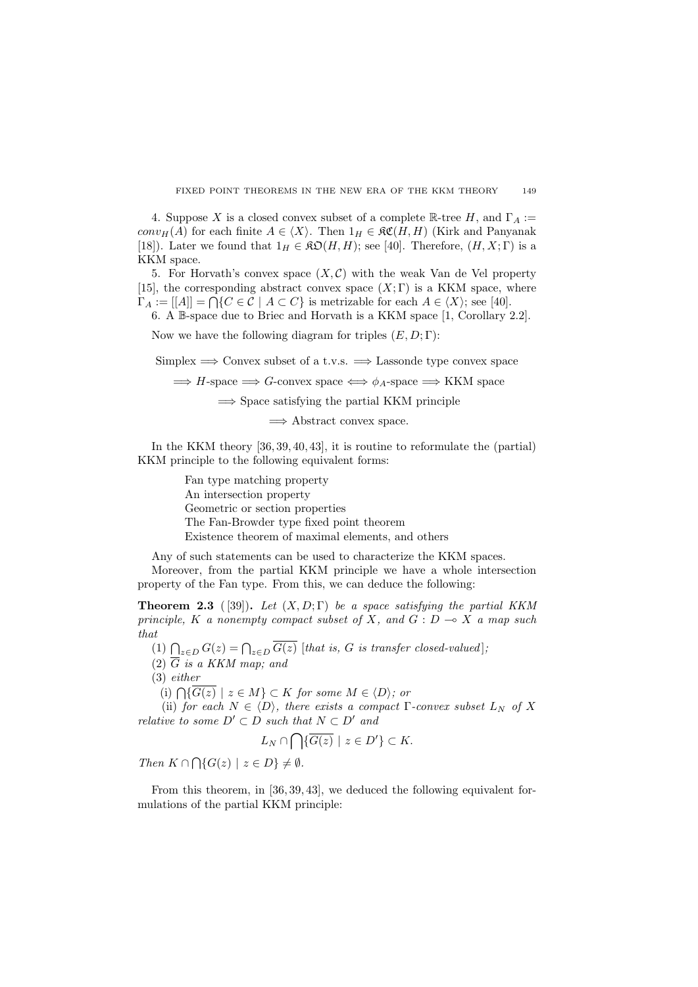4. Suppose X is a closed convex subset of a complete  $\mathbb{R}$ -tree H, and  $\Gamma_A :=$ conv<sub>H</sub>(A) for each finite  $A \in \langle X \rangle$ . Then  $1_H \in \mathfrak{RC}(H, H)$  (Kirk and Panyanak [18]). Later we found that  $1_H \in \mathfrak{K}(\mathcal{H}, H)$ ; see [40]. Therefore,  $(H, X; \Gamma)$  is a KKM space.

5. For Horvath's convex space  $(X, \mathcal{C})$  with the weak Van de Vel property [15], the corresponding abstract convex space  $(X; \Gamma)$  is a KKM space, where [10], the corresponding abstract convex space  $(X, I)$  is a KKM space,  $\Gamma_A := [[A]] = \bigcap \{C \in \mathcal{C} \mid A \subset C\}$  is metrizable for each  $A \in \langle X \rangle$ ; see [40].

6. A B-space due to Briec and Horvath is a KKM space [1, Corollary 2.2].

Now we have the following diagram for triples  $(E, D; \Gamma)$ :

Simplex  $\implies$  Convex subset of a t.v.s.  $\implies$  Lassonde type convex space

 $\implies$  H-space  $\implies$  G-convex space  $\iff$   $\phi_A$ -space  $\implies$  KKM space

 $\Rightarrow$  Space satisfying the partial KKM principle

 $\implies$  Abstract convex space.

In the KKM theory [36, 39, 40, 43], it is routine to reformulate the (partial) KKM principle to the following equivalent forms:

> Fan type matching property An intersection property Geometric or section properties The Fan-Browder type fixed point theorem Existence theorem of maximal elements, and others

Any of such statements can be used to characterize the KKM spaces.

Moreover, from the partial KKM principle we have a whole intersection property of the Fan type. From this, we can deduce the following:

**Theorem 2.3** ([39]). Let  $(X, D; \Gamma)$  be a space satisfying the partial KKM principle, K a nonempty compact subset of X, and  $G: D \multimap X$  a map such that

(1)  $\bigcap_{z \in D} G(z) = \bigcap_{z \in D} \overline{G(z)}$  [that is, G is transfer closed-valued];

(2)  $\overline{G}$  is a KKM map; and

(3) either

(i)  $\bigcap {\overline{G(z)}} \mid z \in M$   $\bigcap$   $\subset$  K for some  $M \in \langle D \rangle$ ; or

(ii) for each  $N \in \langle D \rangle$ , there exists a compact  $\Gamma$ -convex subset  $L_N$  of X relative to some  $D' \subset D$  such that  $N \subset D'$  and

$$
L_N \cap \bigcap \{ \overline{G(z)} \mid z \in D' \} \subset K.
$$

Then  $K \cap \bigcap \{G(z) \mid z \in D\} \neq \emptyset$ .

From this theorem, in [36, 39, 43], we deduced the following equivalent formulations of the partial KKM principle: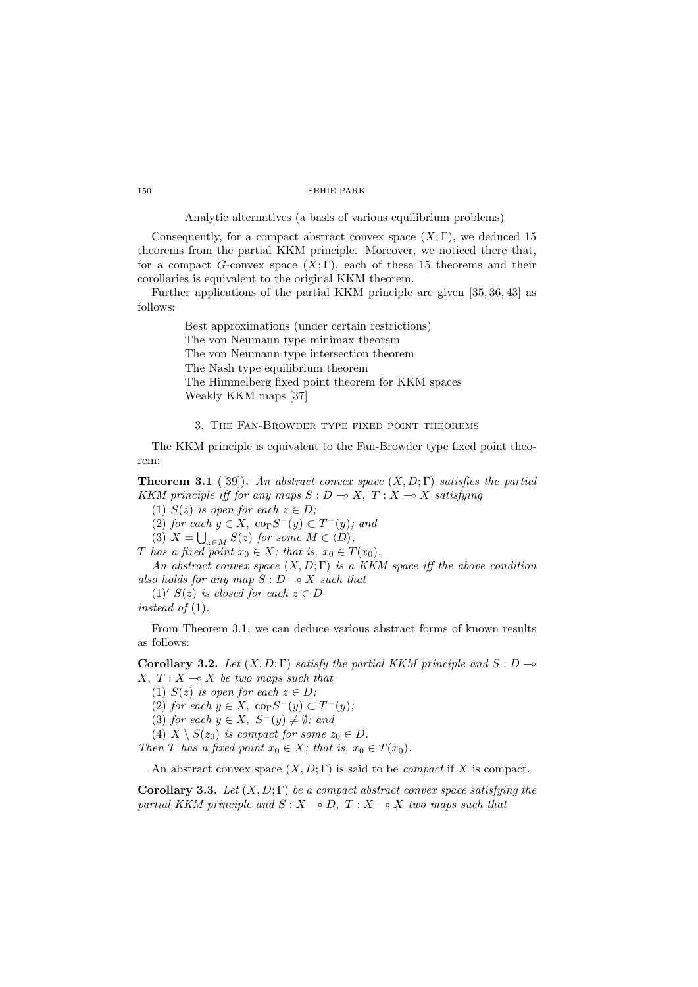# Analytic alternatives (a basis of various equilibrium problems)

Consequently, for a compact abstract convex space  $(X; \Gamma)$ , we deduced 15 theorems from the partial KKM principle. Moreover, we noticed there that, for a compact G-convex space  $(X;\Gamma)$ , each of these 15 theorems and their corollaries is equivalent to the original KKM theorem.

Further applications of the partial KKM principle are given [35, 36, 43] as follows:

> Best approximations (under certain restrictions) The von Neumann type minimax theorem The von Neumann type intersection theorem The Nash type equilibrium theorem The Himmelberg fixed point theorem for KKM spaces Weakly KKM maps [37]

# 3. The Fan-Browder type fixed point theorems

The KKM principle is equivalent to the Fan-Browder type fixed point theorem:

**Theorem 3.1** ([39]). An abstract convex space  $(X, D; \Gamma)$  satisfies the partial KKM principle iff for any maps  $S : D \rightarrow X, T : X \rightarrow X$  satisfying

(1)  $S(z)$  is open for each  $z \in D$ ;

(2) for each  $y \in X$ ,  $\operatorname{co}_{\Gamma} S^{-}(y) \subset T^{-}(y)$ ; and

(3)  $X = \bigcup_{z \in M} S(z)$  for some  $M \in \langle D \rangle$ ,

T has a fixed point  $x_0 \in X$ ; that is,  $x_0 \in T(x_0)$ .

An abstract convex space  $(X, D; \Gamma)$  is a KKM space iff the above condition also holds for any map  $S: D \longrightarrow X$  such that

(1)'  $S(z)$  is closed for each  $z \in D$ 

instead of  $(1)$ .

From Theorem 3.1, we can deduce various abstract forms of known results as follows:

Corollary 3.2. Let  $(X, D; \Gamma)$  satisfy the partial KKM principle and  $S: D \rightarrow$ X,  $T: X \longrightarrow X$  be two maps such that

(1)  $S(z)$  is open for each  $z \in D$ ;

(2) for each  $y \in X$ ,  $\operatorname{co}_{\Gamma} S^{-}(y) \subset T^{-}(y)$ ;

(3) for each  $y \in X$ ,  $S^-(y) \neq \emptyset$ ; and

(4)  $X \setminus S(z_0)$  is compact for some  $z_0 \in D$ .

Then T has a fixed point  $x_0 \in X$ ; that is,  $x_0 \in T(x_0)$ .

An abstract convex space  $(X, D; \Gamma)$  is said to be *compact* if X is compact.

Corollary 3.3. Let  $(X, D; \Gamma)$  be a compact abstract convex space satisfying the partial KKM principle and  $S : X \to D$ ,  $T : X \to X$  two maps such that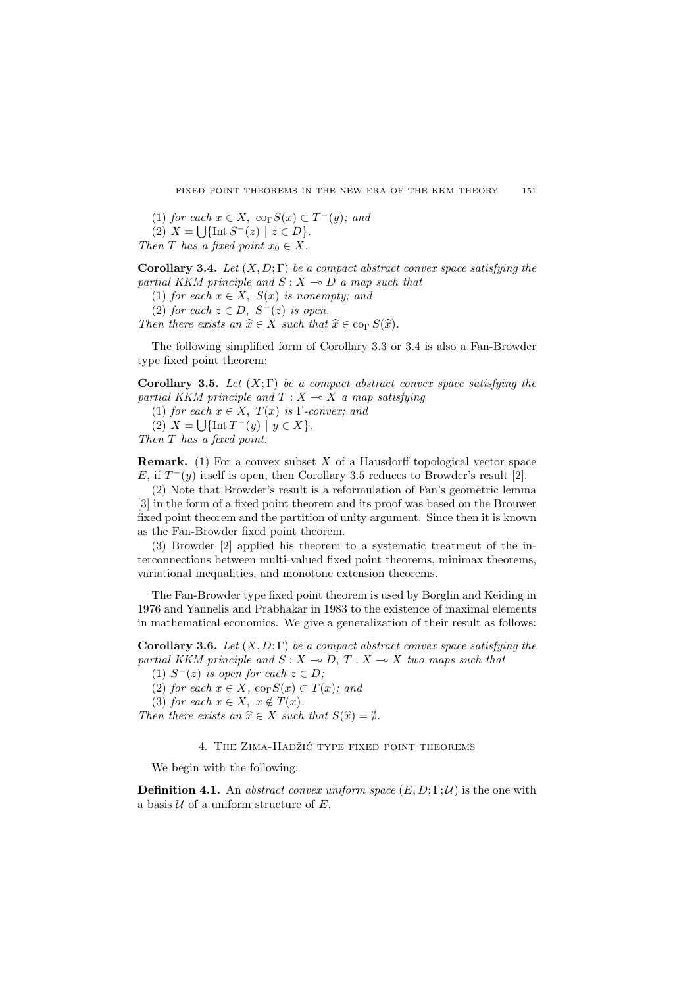(1) for each  $x \in X$ ,  $\operatorname{co}_{\Gamma}S(x) \subset T^{-}(y)$ ; and

(2)  $X = \bigcup \{ \text{Int } S^{-}(z) \mid z \in D \}.$ 

Then T has a fixed point  $x_0 \in X$ .

Corollary 3.4. Let  $(X, D; \Gamma)$  be a compact abstract convex space satisfying the partial KKM principle and  $S: X \rightarrow D$  a map such that

(1) for each  $x \in X$ ,  $S(x)$  is nonempty; and

(2) for each  $z \in D$ ,  $S^{-}(z)$  is open.

Then there exists an  $\hat{x} \in X$  such that  $\hat{x} \in \text{co}_{\Gamma} S(\hat{x})$ .

The following simplified form of Corollary 3.3 or 3.4 is also a Fan-Browder type fixed point theorem:

Corollary 3.5. Let  $(X;\Gamma)$  be a compact abstract convex space satisfying the partial KKM principle and  $T : X \longrightarrow X$  a map satisfying

(1) for each  $x \in X$ ,  $T(x)$  is  $\Gamma$ -convex; and

(2)  $X = \bigcup \{ \text{Int } T^-(y) \mid y \in X \}.$ 

Then T has a fixed point.

**Remark.** (1) For a convex subset  $X$  of a Hausdorff topological vector space E, if  $T^-(y)$  itself is open, then Corollary 3.5 reduces to Browder's result [2].

(2) Note that Browder's result is a reformulation of Fan's geometric lemma [3] in the form of a fixed point theorem and its proof was based on the Brouwer fixed point theorem and the partition of unity argument. Since then it is known as the Fan-Browder fixed point theorem.

(3) Browder [2] applied his theorem to a systematic treatment of the interconnections between multi-valued fixed point theorems, minimax theorems, variational inequalities, and monotone extension theorems.

The Fan-Browder type fixed point theorem is used by Borglin and Keiding in 1976 and Yannelis and Prabhakar in 1983 to the existence of maximal elements in mathematical economics. We give a generalization of their result as follows:

**Corollary 3.6.** Let  $(X, D; \Gamma)$  be a compact abstract convex space satisfying the partial KKM principle and  $S : X \to D, T : X \to X$  two maps such that

(1)  $S^-(z)$  is open for each  $z \in D$ ;

(2) for each  $x \in X$ ,  $\text{co}_{\Gamma}S(x) \subset T(x)$ ; and

(3) for each  $x \in X$ ,  $x \notin T(x)$ .

Then there exists an  $\hat{x} \in X$  such that  $S(\hat{x}) = \emptyset$ .

## 4. THE ZIMA-HADŽIĆ TYPE FIXED POINT THEOREMS

We begin with the following:

**Definition 4.1.** An abstract convex uniform space  $(E, D; \Gamma; \mathcal{U})$  is the one with a basis  $U$  of a uniform structure of  $E$ .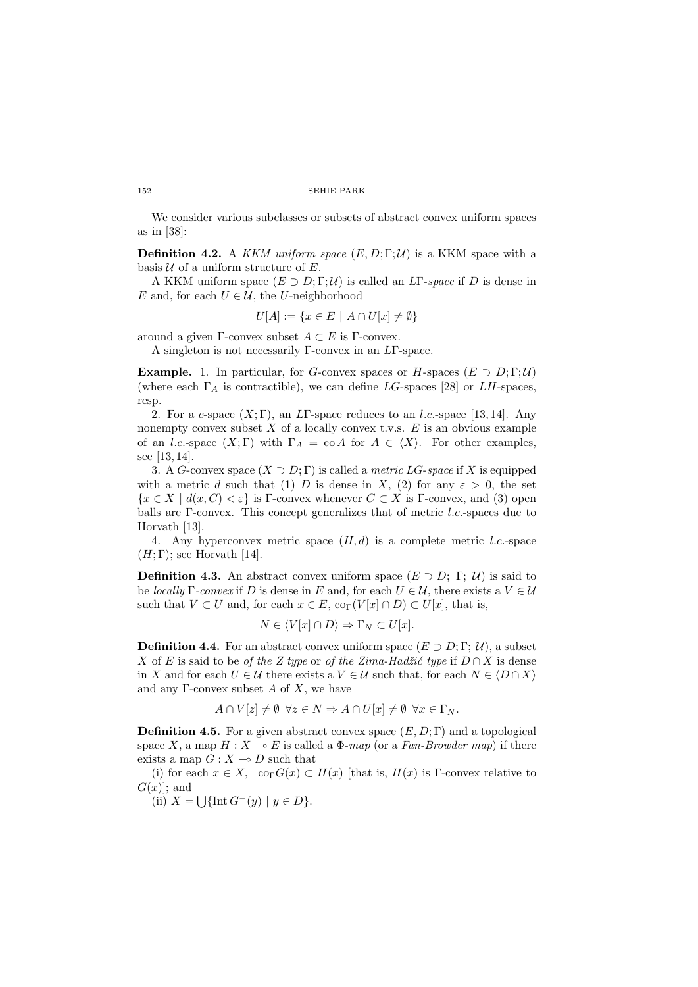We consider various subclasses or subsets of abstract convex uniform spaces as in [38]:

**Definition 4.2.** A KKM uniform space  $(E, D; \Gamma; \mathcal{U})$  is a KKM space with a basis  $U$  of a uniform structure of  $E$ .

A KKM uniform space  $(E \supset D; \Gamma; \mathcal{U})$  is called an LF-space if D is dense in E and, for each  $U \in \mathcal{U}$ , the U-neighborhood

$$
U[A] := \{ x \in E \mid A \cap U[x] \neq \emptyset \}
$$

around a given Γ-convex subset  $A \subset E$  is Γ-convex.

A singleton is not necessarily Γ-convex in an LΓ-space.

**Example.** 1. In particular, for G-convex spaces or H-spaces  $(E \supset D; \Gamma; \mathcal{U})$ (where each  $\Gamma_A$  is contractible), we can define LG-spaces [28] or LH-spaces, resp.

2. For a c-space  $(X; \Gamma)$ , an LT-space reduces to an l.c.-space [13, 14]. Any nonempty convex subset  $X$  of a locally convex t.v.s.  $E$  is an obvious example of an *l.c.*-space  $(X;\Gamma)$  with  $\Gamma_A = \text{co } A$  for  $A \in \langle X \rangle$ . For other examples, see [13, 14].

3. A G-convex space  $(X \supset D; \Gamma)$  is called a *metric LG-space* if X is equipped with a metric d such that (1) D is dense in X, (2) for any  $\varepsilon > 0$ , the set  ${x \in X \mid d(x, C) < \varepsilon}$  is Γ-convex whenever  $C \subset X$  is Γ-convex, and (3) open balls are Γ-convex. This concept generalizes that of metric l.c.-spaces due to Horvath [13].

4. Any hyperconvex metric space  $(H, d)$  is a complete metric *l.c.*-space  $(H; \Gamma)$ ; see Horvath [14].

**Definition 4.3.** An abstract convex uniform space  $(E \supset D; \Gamma; \mathcal{U})$  is said to be locally  $\Gamma$ -convex if D is dense in E and, for each  $U \in \mathcal{U}$ , there exists a  $V \in \mathcal{U}$ such that  $V \subset U$  and, for each  $x \in E$ ,  $\text{co}_{\Gamma}(V[x] \cap D) \subset U[x]$ , that is,

$$
N \in \langle V[x] \cap D \rangle \Rightarrow \Gamma_N \subset U[x].
$$

**Definition 4.4.** For an abstract convex uniform space  $(E \supset D; \Gamma; \mathcal{U})$ , a subset X of E is said to be of the Z type or of the Zima-Hadžić type if  $D \cap X$  is dense in X and for each  $U \in \mathcal{U}$  there exists a  $V \in \mathcal{U}$  such that, for each  $N \in \langle D \cap X \rangle$ and any  $\Gamma$ -convex subset A of X, we have

$$
A \cap V[z] \neq \emptyset \ \forall z \in N \Rightarrow A \cap U[x] \neq \emptyset \ \forall x \in \Gamma_N.
$$

**Definition 4.5.** For a given abstract convex space  $(E, D; \Gamma)$  and a topological space X, a map  $H : X \to E$  is called a  $\Phi$ -map (or a Fan-Browder map) if there exists a map  $G: X \rightarrow D$  such that

(i) for each  $x \in X$ ,  $\operatorname{co}_{\Gamma} G(x) \subset H(x)$  [that is,  $H(x)$  is  $\Gamma$ -convex relative to  $G(x)$ ; and

 $[x]$ ; and<br>(ii)  $X = \bigcup \{ \text{Int } G^-(y) \mid y \in D \}.$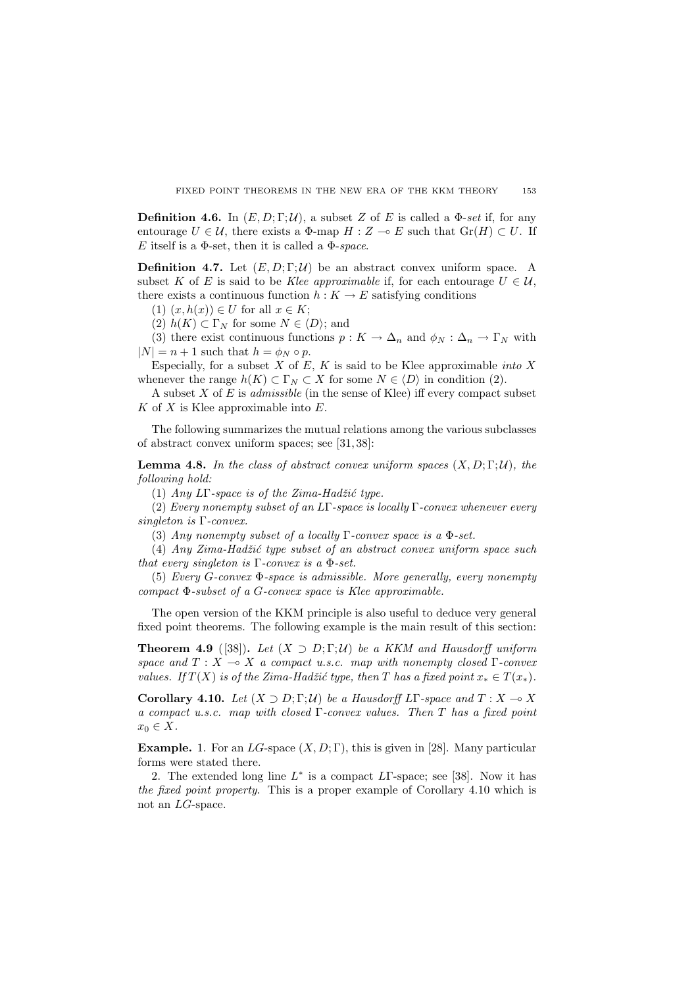**Definition 4.6.** In  $(E, D; \Gamma; \mathcal{U})$ , a subset Z of E is called a  $\Phi$ -set if, for any entourage  $U \in \mathcal{U}$ , there exists a  $\Phi$ -map  $H : Z \multimap E$  such that  $Gr(H) \subset U$ . If E itself is a  $\Phi$ -set, then it is called a  $\Phi$ -space.

**Definition 4.7.** Let  $(E, D; \Gamma; \mathcal{U})$  be an abstract convex uniform space. A subset K of E is said to be Klee approximable if, for each entourage  $U \in \mathcal{U}$ , there exists a continuous function  $h: K \to E$  satisfying conditions

(1)  $(x, h(x)) \in U$  for all  $x \in K$ ;

(2)  $h(K) \subset \Gamma_N$  for some  $N \in \langle D \rangle$ ; and

(3) there exist continuous functions  $p: K \to \Delta_n$  and  $\phi_N: \Delta_n \to \Gamma_N$  with  $|N| = n + 1$  such that  $h = \phi_N \circ p$ .

Especially, for a subset  $X$  of  $E$ ,  $K$  is said to be Klee approximable *into*  $X$ whenever the range  $h(K) \subset \Gamma_N \subset X$  for some  $N \in \langle D \rangle$  in condition (2).

A subset  $X$  of  $E$  is *admissible* (in the sense of Klee) iff every compact subset  $K$  of  $X$  is Klee approximable into  $E$ .

The following summarizes the mutual relations among the various subclasses of abstract convex uniform spaces; see [31, 38]:

**Lemma 4.8.** In the class of abstract convex uniform spaces  $(X, D; \Gamma; \mathcal{U})$ , the following hold:

(1) Any  $LT$ -space is of the Zima-Hadžić type.

(2) Every nonempty subset of an LΓ-space is locally Γ-convex whenever every singleton is Γ-convex.

(3) Any nonempty subset of a locally  $\Gamma$ -convex space is a  $\Phi$ -set.

(4)  $Any Zima-Hadžić type subset of an abstract convex uniform space such$ that every singleton is  $\Gamma$ -convex is a  $\Phi$ -set.

(5) Every G-convex Φ-space is admissible. More generally, every nonempty compact Φ-subset of a G-convex space is Klee approximable.

The open version of the KKM principle is also useful to deduce very general fixed point theorems. The following example is the main result of this section:

**Theorem 4.9** ([38]). Let  $(X \supset D: \Gamma: \mathcal{U})$  be a KKM and Hausdorff uniform space and  $T : X \multimap X$  a compact u.s.c. map with nonempty closed  $\Gamma$ -convex values. If  $T(X)$  is of the Zima-Hadžić type, then T has a fixed point  $x_* \in T(x_*)$ .

Corollary 4.10. Let  $(X \supset D; \Gamma; \mathcal{U})$  be a Hausdorff LΓ-space and  $T : X \to X$ a compact u.s.c. map with closed Γ-convex values. Then T has a fixed point  $x_0 \in X$ .

**Example.** 1. For an  $LG$ -space  $(X, D; \Gamma)$ , this is given in [28]. Many particular forms were stated there.

2. The extended long line  $L^*$  is a compact  $L\Gamma$ -space; see [38]. Now it has the fixed point property. This is a proper example of Corollary 4.10 which is not an LG-space.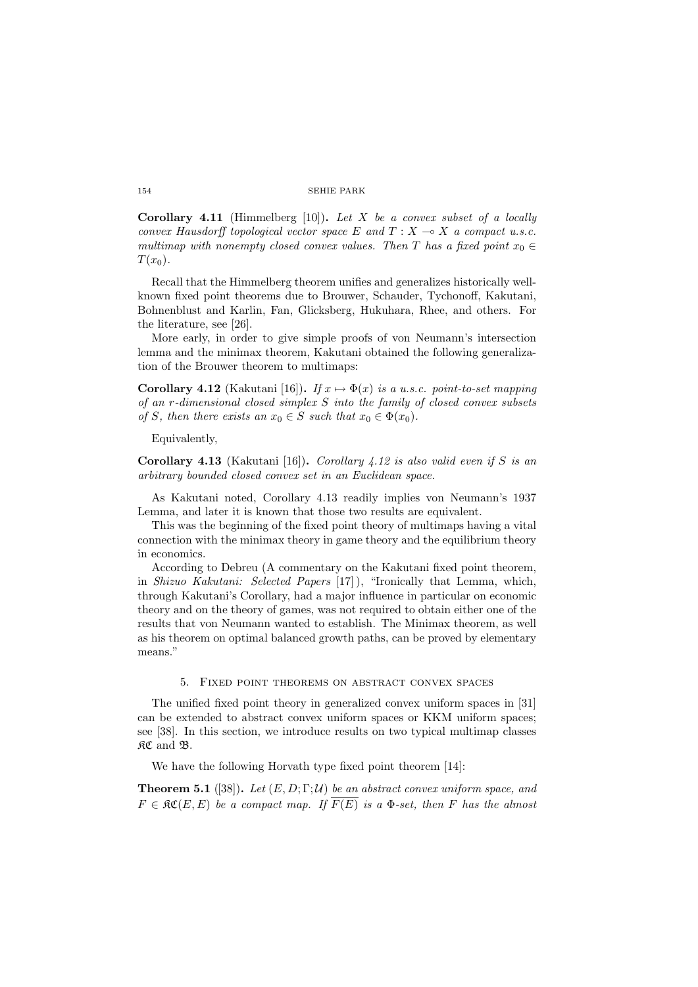**Corollary 4.11** (Himmelberg [10]). Let X be a convex subset of a locally convex Hausdorff topological vector space E and  $T : X \longrightarrow X$  a compact u.s.c. multimap with nonempty closed convex values. Then T has a fixed point  $x_0 \in$  $T(x_0)$ .

Recall that the Himmelberg theorem unifies and generalizes historically wellknown fixed point theorems due to Brouwer, Schauder, Tychonoff, Kakutani, Bohnenblust and Karlin, Fan, Glicksberg, Hukuhara, Rhee, and others. For the literature, see [26].

More early, in order to give simple proofs of von Neumann's intersection lemma and the minimax theorem, Kakutani obtained the following generalization of the Brouwer theorem to multimaps:

Corollary 4.12 (Kakutani [16]). If  $x \mapsto \Phi(x)$  is a u.s.c. point-to-set mapping of an r-dimensional closed simplex S into the family of closed convex subsets of S, then there exists an  $x_0 \in S$  such that  $x_0 \in \Phi(x_0)$ .

Equivalently,

Corollary 4.13 (Kakutani [16]). Corollary 4.12 is also valid even if S is an arbitrary bounded closed convex set in an Euclidean space.

As Kakutani noted, Corollary 4.13 readily implies von Neumann's 1937 Lemma, and later it is known that those two results are equivalent.

This was the beginning of the fixed point theory of multimaps having a vital connection with the minimax theory in game theory and the equilibrium theory in economics.

According to Debreu (A commentary on the Kakutani fixed point theorem, in Shizuo Kakutani: Selected Papers [17] ), "Ironically that Lemma, which, through Kakutani's Corollary, had a major influence in particular on economic theory and on the theory of games, was not required to obtain either one of the results that von Neumann wanted to establish. The Minimax theorem, as well as his theorem on optimal balanced growth paths, can be proved by elementary means."

### 5. Fixed point theorems on abstract convex spaces

The unified fixed point theory in generalized convex uniform spaces in [31] can be extended to abstract convex uniform spaces or KKM uniform spaces; see [38]. In this section, we introduce results on two typical multimap classes KC and B.

We have the following Horvath type fixed point theorem [14]:

**Theorem 5.1** ([38]). Let  $(E, D; \Gamma; \mathcal{U})$  be an abstract convex uniform space, and  $F \in \mathfrak{RC}(E, E)$  be a compact map. If  $\overline{F(E)}$  is a  $\Phi$ -set, then F has the almost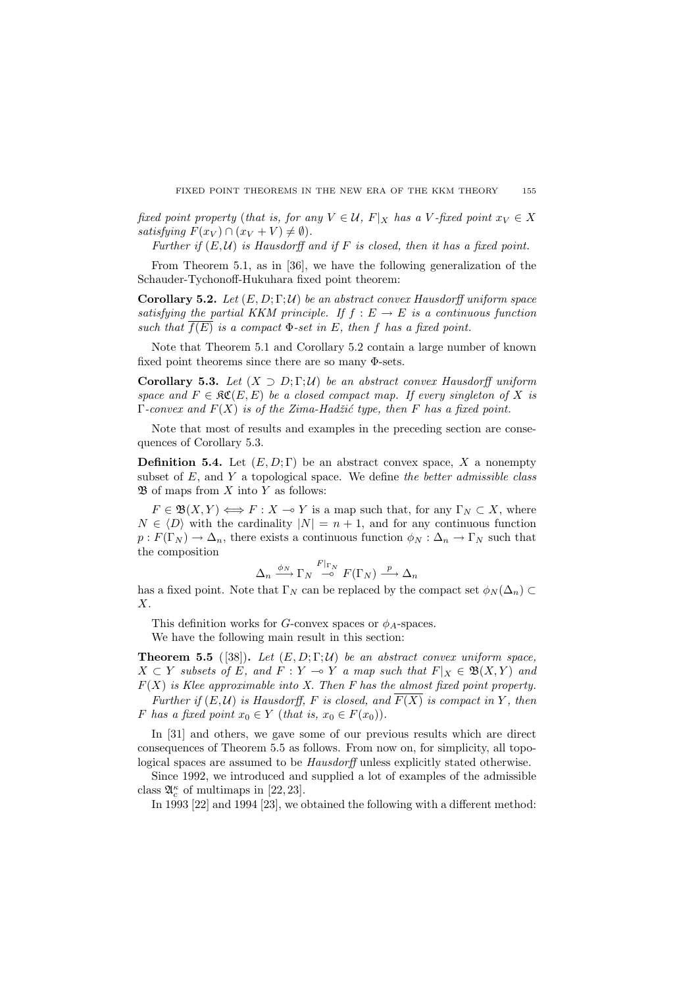fixed point property (that is, for any  $V \in \mathcal{U}$ ,  $F|_X$  has a V-fixed point  $x_V \in X$ satisfying  $F(x_V) \cap (x_V + V) \neq \emptyset$ .

Further if  $(E, \mathcal{U})$  is Hausdorff and if F is closed, then it has a fixed point.

From Theorem 5.1, as in [36], we have the following generalization of the Schauder-Tychonoff-Hukuhara fixed point theorem:

**Corollary 5.2.** Let  $(E, D; \Gamma; \mathcal{U})$  be an abstract convex Hausdorff uniform space satisfying the partial KKM principle. If  $f : E \to E$  is a continuous function such that  $\overline{f(E)}$  is a compact  $\Phi$ -set in E, then f has a fixed point.

Note that Theorem 5.1 and Corollary 5.2 contain a large number of known fixed point theorems since there are so many Φ-sets.

Corollary 5.3. Let  $(X \supset D; \Gamma; \mathcal{U})$  be an abstract convex Hausdorff uniform space and  $F \in \mathfrak{RC}(E, E)$  be a closed compact map. If every singleton of X is  $\Gamma$ -convex and  $F(X)$  is of the Zima-Hadžić type, then F has a fixed point.

Note that most of results and examples in the preceding section are consequences of Corollary 5.3.

**Definition 5.4.** Let  $(E, D; \Gamma)$  be an abstract convex space, X a nonempty subset of  $E$ , and  $Y$  a topological space. We define the better admissible class  $\mathfrak{B}$  of maps from X into Y as follows:

 $F \in \mathfrak{B}(X,Y) \Longleftrightarrow F : X \multimap Y$  is a map such that, for any  $\Gamma_N \subset X$ , where  $N \in \langle D \rangle$  with the cardinality  $|N| = n + 1$ , and for any continuous function  $p: F(\Gamma_N) \to \Delta_n$ , there exists a continuous function  $\phi_N : \Delta_n \to \Gamma_N$  such that the composition

$$
\Delta_n \xrightarrow{\phi_N} \Gamma_N \xrightarrow{F|_{\Gamma_N}} F(\Gamma_N) \xrightarrow{p} \Delta_n
$$

has a fixed point. Note that  $\Gamma_N$  can be replaced by the compact set  $\phi_N(\Delta_n) \subset$ X.

This definition works for G-convex spaces or  $\phi_A$ -spaces.

We have the following main result in this section:

**Theorem 5.5** ([38]). Let  $(E, D; \Gamma; \mathcal{U})$  be an abstract convex uniform space,  $X \subset Y$  subsets of E, and  $F : Y \multimap Y$  a map such that  $F|_X \in \mathfrak{B}(X, Y)$  and  $F(X)$  is Klee approximable into X. Then F has the almost fixed point property. Further if  $(E, \mathcal{U})$  is Hausdorff, F is closed, and  $\overline{F(X)}$  is compact in Y, then F has a fixed point  $x_0 \in Y$  (that is,  $x_0 \in F(x_0)$ ).

In [31] and others, we gave some of our previous results which are direct consequences of Theorem 5.5 as follows. From now on, for simplicity, all topological spaces are assumed to be Hausdorff unless explicitly stated otherwise.

Since 1992, we introduced and supplied a lot of examples of the admissible class  $\mathfrak{A}_{c}^{\kappa}$  of multimaps in [22, 23].

In 1993 [22] and 1994 [23], we obtained the following with a different method: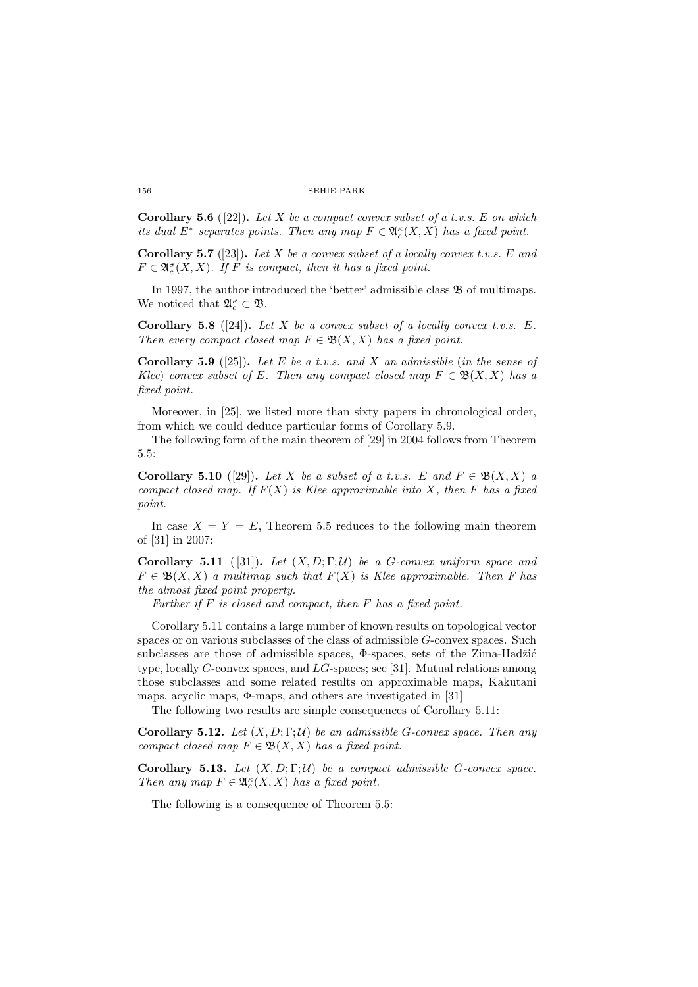**Corollary 5.6** ([22]). Let X be a compact convex subset of a t.v.s. E on which its dual  $E^*$  separates points. Then any map  $F \in \mathfrak{A}_c^{\kappa}(X,X)$  has a fixed point.

**Corollary 5.7** ([23]). Let X be a convex subset of a locally convex t.v.s. E and  $F \in \mathfrak{A}_c^{\sigma}(X,X)$ . If F is compact, then it has a fixed point.

In 1997, the author introduced the 'better' admissible class  $\mathfrak B$  of multimaps. We noticed that  $\mathfrak{A}_{c}^{\kappa} \subset \mathfrak{B}$ .

Corollary 5.8 ([24]). Let X be a convex subset of a locally convex t.v.s.  $E$ . Then every compact closed map  $F \in \mathfrak{B}(X,X)$  has a fixed point.

**Corollary 5.9** ([25]). Let E be a t.v.s. and X an admissible (in the sense of Klee) convex subset of E. Then any compact closed map  $F \in \mathfrak{B}(X,X)$  has a fixed point.

Moreover, in [25], we listed more than sixty papers in chronological order, from which we could deduce particular forms of Corollary 5.9.

The following form of the main theorem of [29] in 2004 follows from Theorem 5.5:

**Corollary 5.10** ([29]). Let X be a subset of a t.v.s. E and  $F \in \mathfrak{B}(X,X)$  a compact closed map. If  $F(X)$  is Klee approximable into X, then F has a fixed point.

In case  $X = Y = E$ , Theorem 5.5 reduces to the following main theorem of [31] in 2007:

Corollary 5.11 ([31]). Let  $(X, D; \Gamma; \mathcal{U})$  be a G-convex uniform space and  $F \in \mathfrak{B}(X,X)$  a multimap such that  $F(X)$  is Klee approximable. Then F has the almost fixed point property.

Further if  $F$  is closed and compact, then  $F$  has a fixed point.

Corollary 5.11 contains a large number of known results on topological vector spaces or on various subclasses of the class of admissible G-convex spaces. Such subclasses are those of admissible spaces,  $\Phi$ -spaces, sets of the Zima-Hadžić type, locally G-convex spaces, and LG-spaces; see [31]. Mutual relations among those subclasses and some related results on approximable maps, Kakutani maps, acyclic maps, Φ-maps, and others are investigated in [31]

The following two results are simple consequences of Corollary 5.11:

Corollary 5.12. Let  $(X, D; \Gamma; \mathcal{U})$  be an admissible G-convex space. Then any compact closed map  $F \in \mathfrak{B}(X,X)$  has a fixed point.

Corollary 5.13. Let  $(X, D; \Gamma; \mathcal{U})$  be a compact admissible G-convex space. Then any map  $F \in \mathfrak{A}_c^{\kappa}(X,X)$  has a fixed point.

The following is a consequence of Theorem 5.5: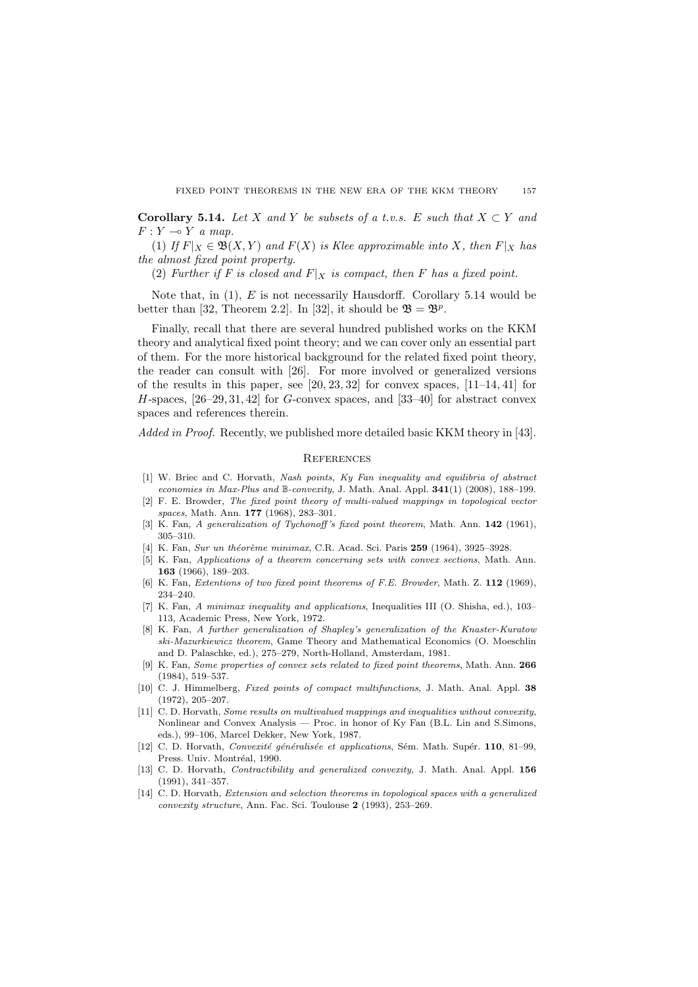Corollary 5.14. Let X and Y be subsets of a t.v.s. E such that  $X \subset Y$  and  $F: Y \multimap Y$  a map.

(1) If  $F|_X \in \mathfrak{B}(X,Y)$  and  $F(X)$  is Klee approximable into X, then  $F|_X$  has the almost fixed point property.

(2) Further if F is closed and  $F|_X$  is compact, then F has a fixed point.

Note that, in  $(1)$ , E is not necessarily Hausdorff. Corollary 5.14 would be better than [32, Theorem 2.2]. In [32], it should be  $\mathfrak{B} = \mathfrak{B}^p$ .

Finally, recall that there are several hundred published works on the KKM theory and analytical fixed point theory; and we can cover only an essential part of them. For the more historical background for the related fixed point theory, the reader can consult with [26]. For more involved or generalized versions of the results in this paper, see  $[20, 23, 32]$  for convex spaces,  $[11-14, 41]$  for H-spaces,  $[26-29, 31, 42]$  for G-convex spaces, and  $[33-40]$  for abstract convex spaces and references therein.

Added in Proof. Recently, we published more detailed basic KKM theory in [43].

# **REFERENCES**

- [1] W. Briec and C. Horvath, Nash points, Ky Fan inequality and equilibria of abstract economies in Max-Plus and B-convexity, J. Math. Anal. Appl. 341(1) (2008), 188–199.
- [2] F. E. Browder, The fixed point theory of multi-valued mappings in topological vector spaces, Math. Ann. 177 (1968), 283–301.
- [3] K. Fan, A generalization of Tychonoff's fixed point theorem, Math. Ann. 142 (1961), 305–310.
- [4] K. Fan, Sur un théorème minimax, C.R. Acad. Sci. Paris 259 (1964), 3925–3928.
- [5] K. Fan, Applications of a theorem concerning sets with convex sections, Math. Ann. 163 (1966), 189–203.
- [6] K. Fan, Extentions of two fixed point theorems of F.E. Browder, Math. Z. 112 (1969), 234–240.
- [7] K. Fan, A minimax inequality and applications, Inequalities III (O. Shisha, ed.), 103– 113, Academic Press, New York, 1972.
- [8] K. Fan, A further generalization of Shapley's generalization of the Knaster-Kuratow ski-Mazurkiewicz theorem, Game Theory and Mathematical Economics (O. Moeschlin and D. Palaschke, ed.), 275–279, North-Holland, Amsterdam, 1981.
- [9] K. Fan, Some properties of convex sets related to fixed point theorems, Math. Ann. 266 (1984), 519–537.
- [10] C. J. Himmelberg, Fixed points of compact multifunctions, J. Math. Anal. Appl. 38 (1972), 205–207.
- [11] C. D. Horvath, Some results on multivalued mappings and inequalities without convexity, Nonlinear and Convex Analysis — Proc. in honor of Ky Fan (B.L. Lin and S.Simons, eds.), 99–106, Marcel Dekker, New York, 1987.
- [12] C. D. Horvath, Convexité généralisée et applications, Sém. Math. Supér. 110, 81–99, Press. Univ. Montréal, 1990.
- [13] C. D. Horvath, *Contractibility and generalized convexity*, J. Math. Anal. Appl. **156** (1991), 341–357.
- [14] C. D. Horvath, Extension and selection theorems in topological spaces with a generalized convexity structure, Ann. Fac. Sci. Toulouse 2 (1993), 253–269.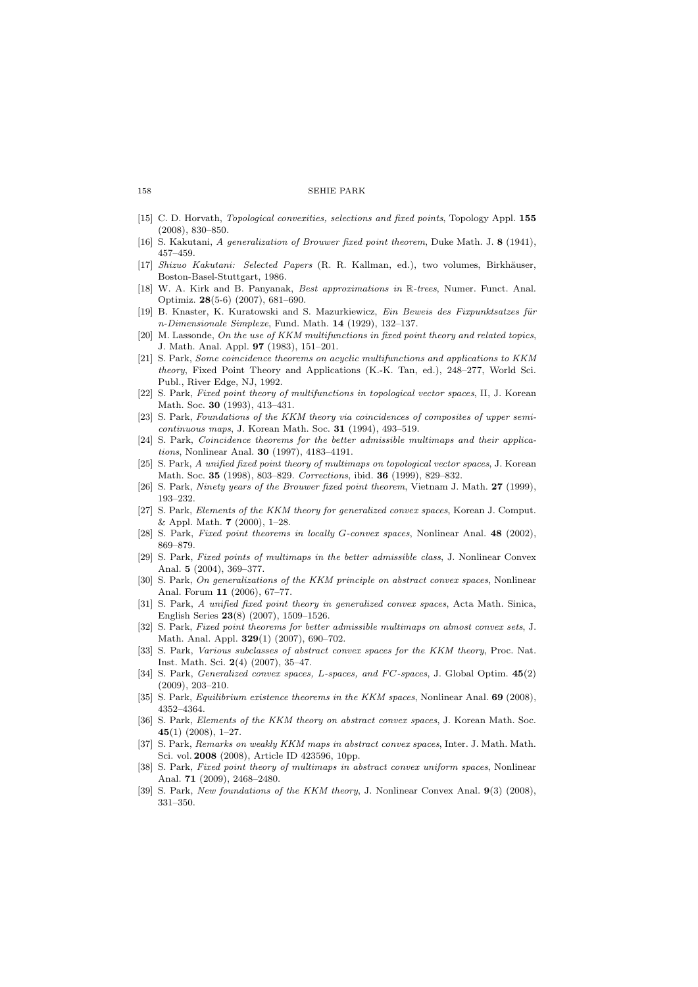- [15] C. D. Horvath, Topological convexities, selections and fixed points, Topology Appl. 155 (2008), 830–850.
- [16] S. Kakutani, A generalization of Brouwer fixed point theorem, Duke Math. J. 8 (1941), 457–459.
- [17] Shizuo Kakutani: Selected Papers (R. R. Kallman, ed.), two volumes, Birkh¨auser, Boston-Basel-Stuttgart, 1986.
- [18] W. A. Kirk and B. Panyanak, Best approximations in R-trees, Numer. Funct. Anal. Optimiz. 28(5-6) (2007), 681–690.
- [19] B. Knaster, K. Kuratowski and S. Mazurkiewicz, Ein Beweis des Fixpunktsatzes für n-Dimensionale Simplexe, Fund. Math. 14 (1929), 132–137.
- [20] M. Lassonde, On the use of KKM multifunctions in fixed point theory and related topics, J. Math. Anal. Appl. 97 (1983), 151–201.
- [21] S. Park, Some coincidence theorems on acyclic multifunctions and applications to KKM theory, Fixed Point Theory and Applications (K.-K. Tan, ed.), 248–277, World Sci. Publ., River Edge, NJ, 1992.
- [22] S. Park, Fixed point theory of multifunctions in topological vector spaces, II, J. Korean Math. Soc. 30 (1993), 413–431.
- [23] S. Park, Foundations of the KKM theory via coincidences of composites of upper semicontinuous maps, J. Korean Math. Soc. 31 (1994), 493–519.
- [24] S. Park, Coincidence theorems for the better admissible multimaps and their applications, Nonlinear Anal. 30 (1997), 4183–4191.
- [25] S. Park, A unified fixed point theory of multimaps on topological vector spaces, J. Korean Math. Soc. 35 (1998), 803–829. Corrections, ibid. 36 (1999), 829–832.
- [26] S. Park, Ninety years of the Brouwer fixed point theorem, Vietnam J. Math. 27 (1999), 193–232.
- [27] S. Park, *Elements of the KKM theory for generalized convex spaces*, Korean J. Comput. & Appl. Math.  $7$  (2000), 1-28.
- [28] S. Park, Fixed point theorems in locally G-convex spaces, Nonlinear Anal. 48 (2002), 869–879.
- [29] S. Park, Fixed points of multimaps in the better admissible class, J. Nonlinear Convex Anal. 5 (2004), 369–377.
- [30] S. Park, On generalizations of the KKM principle on abstract convex spaces, Nonlinear Anal. Forum 11 (2006), 67–77.
- [31] S. Park, A unified fixed point theory in generalized convex spaces, Acta Math. Sinica, English Series 23(8) (2007), 1509–1526.
- [32] S. Park, Fixed point theorems for better admissible multimaps on almost convex sets, J. Math. Anal. Appl. 329(1) (2007), 690–702.
- [33] S. Park, Various subclasses of abstract convex spaces for the KKM theory, Proc. Nat. Inst. Math. Sci. 2(4) (2007), 35–47.
- [34] S. Park, *Generalized convex spaces, L-spaces, and FC-spaces*, J. Global Optim.  $45(2)$ (2009), 203–210.
- [35] S. Park, *Equilibrium existence theorems in the KKM spaces*, Nonlinear Anal. **69** (2008), 4352–4364.
- [36] S. Park, Elements of the KKM theory on abstract convex spaces, J. Korean Math. Soc. 45(1) (2008),  $1-27$ .
- [37] S. Park, Remarks on weakly KKM maps in abstract convex spaces, Inter. J. Math. Math. Sci. vol. 2008 (2008), Article ID 423596, 10pp.
- [38] S. Park, Fixed point theory of multimaps in abstract convex uniform spaces, Nonlinear Anal. 71 (2009), 2468–2480.
- [39] S. Park, New foundations of the KKM theory, J. Nonlinear Convex Anal.  $9(3)$  (2008), 331–350.